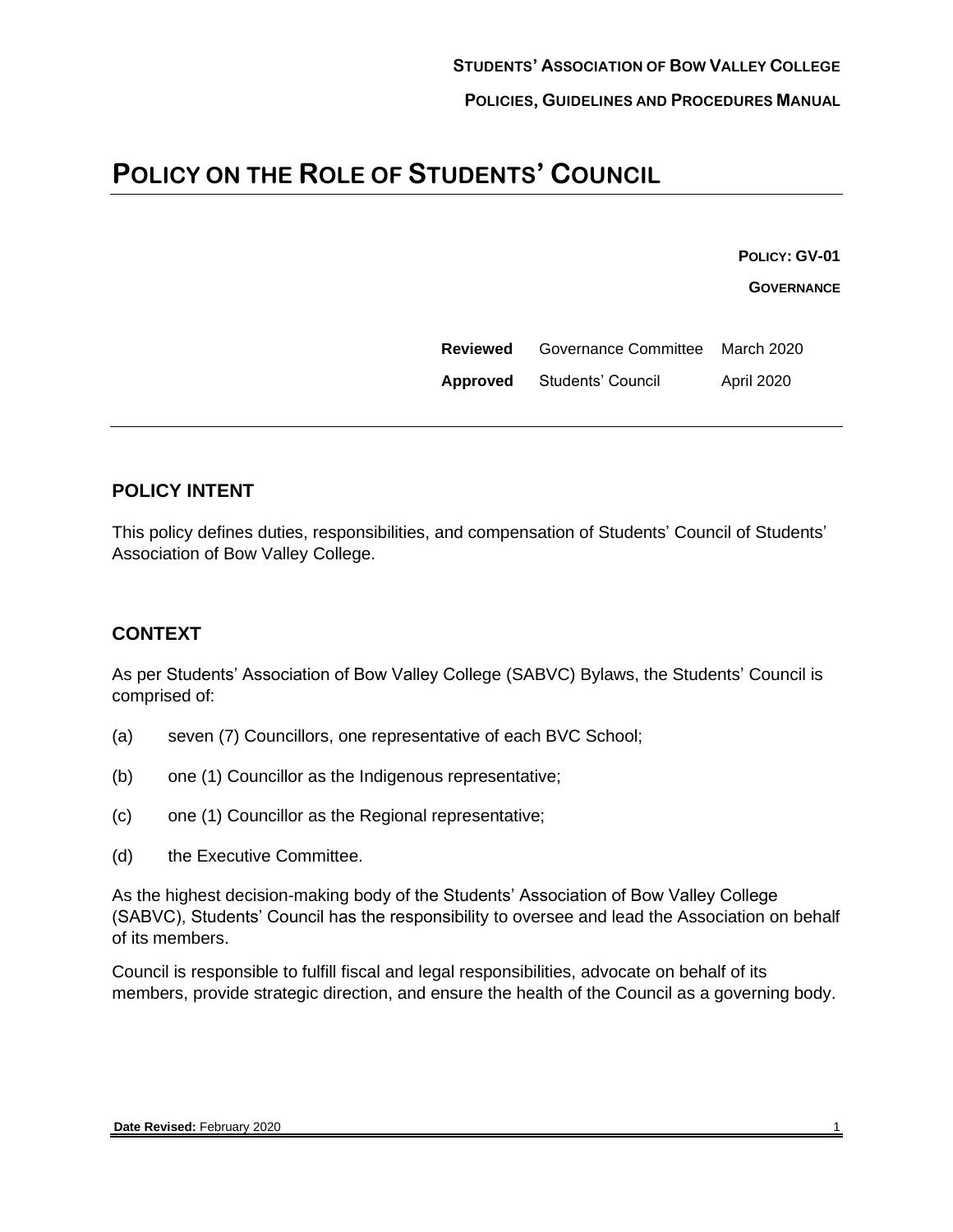# **POLICY ON THE ROLE OF STUDENTS' COUNCIL**

**POLICY: GV-01**

**GOVERNANCE**

| Reviewed | Governance Committee March 2020 |                   |
|----------|---------------------------------|-------------------|
| Approved | Students' Council               | <b>April 2020</b> |

### **POLICY INTENT**

This policy defines duties, responsibilities, and compensation of Students' Council of Students' Association of Bow Valley College.

#### **CONTEXT**

As per Students' Association of Bow Valley College (SABVC) Bylaws, the Students' Council is comprised of:

- (a) seven (7) Councillors, one representative of each BVC School;
- (b) one (1) Councillor as the Indigenous representative;
- (c) one (1) Councillor as the Regional representative;
- (d) the Executive Committee.

As the highest decision-making body of the Students' Association of Bow Valley College (SABVC), Students' Council has the responsibility to oversee and lead the Association on behalf of its members.

Council is responsible to fulfill fiscal and legal responsibilities, advocate on behalf of its members, provide strategic direction, and ensure the health of the Council as a governing body.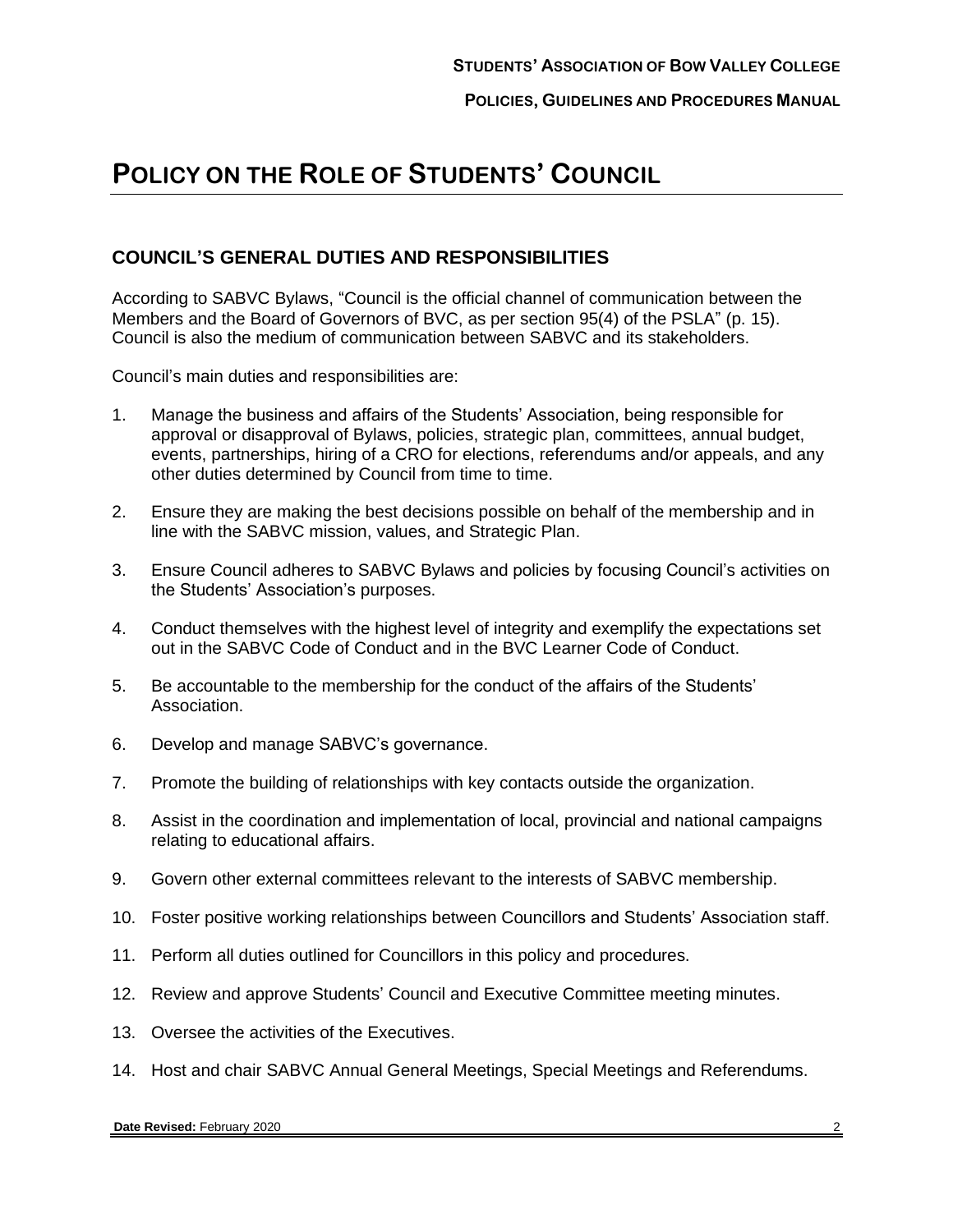## **POLICY ON THE ROLE OF STUDENTS' COUNCIL**

#### **COUNCIL'S GENERAL DUTIES AND RESPONSIBILITIES**

According to SABVC Bylaws, "Council is the official channel of communication between the Members and the Board of Governors of BVC, as per section 95(4) of the PSLA" (p. 15). Council is also the medium of communication between SABVC and its stakeholders.

Council's main duties and responsibilities are:

- <span id="page-1-0"></span>1. Manage the business and affairs of the Students' Association, being responsible for approval or disapproval of Bylaws, policies, strategic plan, committees, annual budget, events, partnerships, hiring of a CRO for elections, referendums and/or appeals, and any other duties determined by Council from time to time.
- 2. Ensure they are making the best decisions possible on behalf of the membership and in line with the SABVC mission, values, and Strategic Plan.
- 3. Ensure Council adheres to SABVC Bylaws and policies by focusing Council's activities on the Students' Association's purposes.
- 4. Conduct themselves with the highest level of integrity and exemplify the expectations set out in the SABVC Code of Conduct and in the BVC Learner Code of Conduct.
- 5. Be accountable to the membership for the conduct of the affairs of the Students' Association.
- 6. Develop and manage SABVC's governance.
- 7. Promote the building of relationships with key contacts outside the organization.
- 8. Assist in the coordination and implementation of local, provincial and national campaigns relating to educational affairs.
- 9. Govern other external committees relevant to the interests of SABVC membership.
- 10. Foster positive working relationships between Councillors and Students' Association staff.
- 11. Perform all duties outlined for Councillors in this policy and procedures.
- 12. Review and approve Students' Council and Executive Committee meeting minutes.
- 13. Oversee the activities of the Executives.
- <span id="page-1-1"></span>14. Host and chair SABVC Annual General Meetings, Special Meetings and Referendums.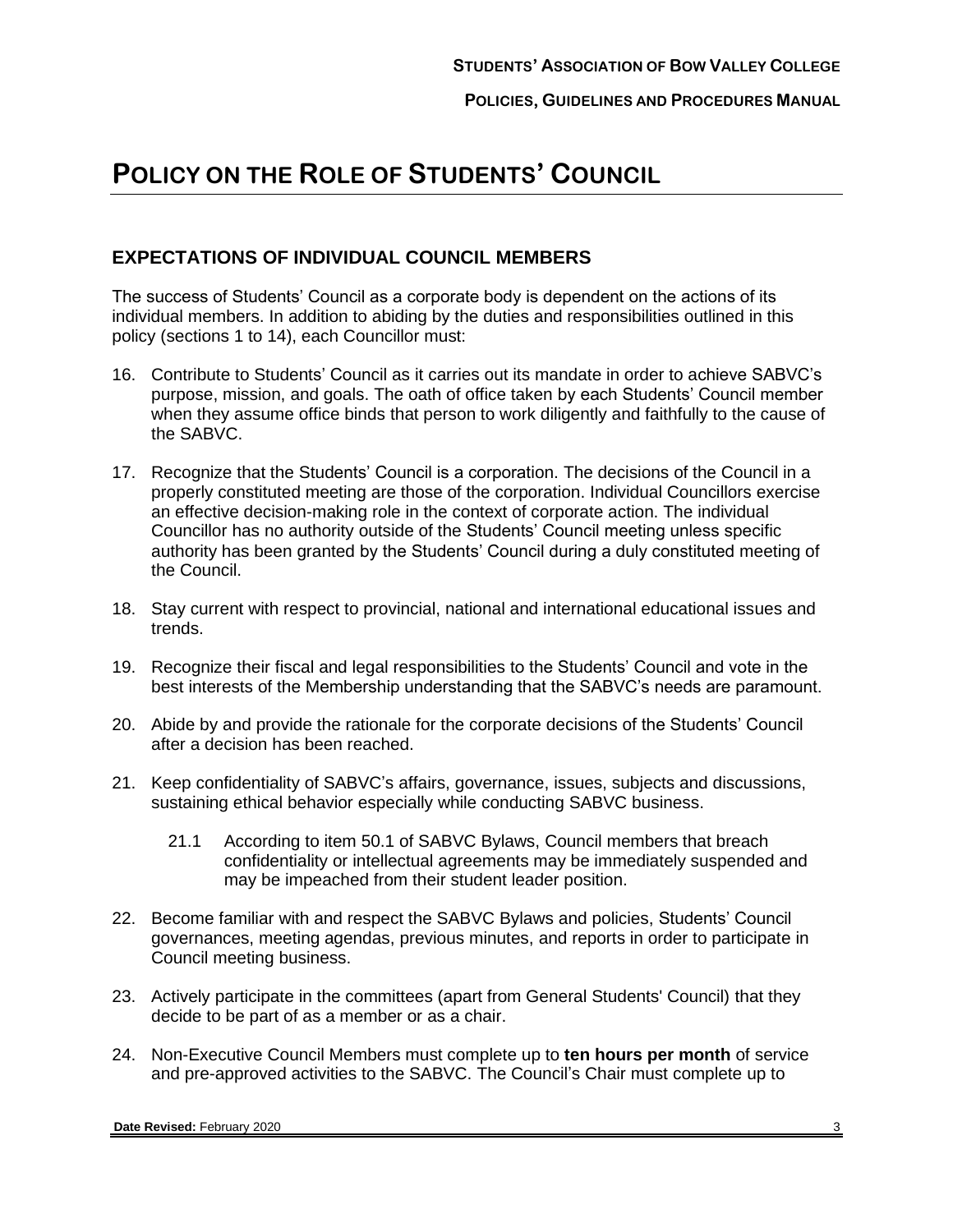## **POLICY ON THE ROLE OF STUDENTS' COUNCIL**

#### **EXPECTATIONS OF INDIVIDUAL COUNCIL MEMBERS**

The success of Students' Council as a corporate body is dependent on the actions of its individual members. In addition to abiding by the duties and responsibilities outlined in this policy (sections [1](#page-1-0) to [14\)](#page-1-1), each Councillor must:

- 16. Contribute to Students' Council as it carries out its mandate in order to achieve SABVC's purpose, mission, and goals. The oath of office taken by each Students' Council member when they assume office binds that person to work diligently and faithfully to the cause of the SABVC.
- 17. Recognize that the Students' Council is a corporation. The decisions of the Council in a properly constituted meeting are those of the corporation. Individual Councillors exercise an effective decision-making role in the context of corporate action. The individual Councillor has no authority outside of the Students' Council meeting unless specific authority has been granted by the Students' Council during a duly constituted meeting of the Council.
- 18. Stay current with respect to provincial, national and international educational issues and trends.
- 19. Recognize their fiscal and legal responsibilities to the Students' Council and vote in the best interests of the Membership understanding that the SABVC's needs are paramount.
- 20. Abide by and provide the rationale for the corporate decisions of the Students' Council after a decision has been reached.
- 21. Keep confidentiality of SABVC's affairs, governance, issues, subjects and discussions, sustaining ethical behavior especially while conducting SABVC business.
	- 21.1 According to item 50.1 of SABVC Bylaws, Council members that breach confidentiality or intellectual agreements may be immediately suspended and may be impeached from their student leader position.
- 22. Become familiar with and respect the SABVC Bylaws and policies, Students' Council governances, meeting agendas, previous minutes, and reports in order to participate in Council meeting business.
- 23. Actively participate in the committees (apart from General Students' Council) that they decide to be part of as a member or as a chair.
- 24. Non-Executive Council Members must complete up to **ten hours per month** of service and pre-approved activities to the SABVC. The Council's Chair must complete up to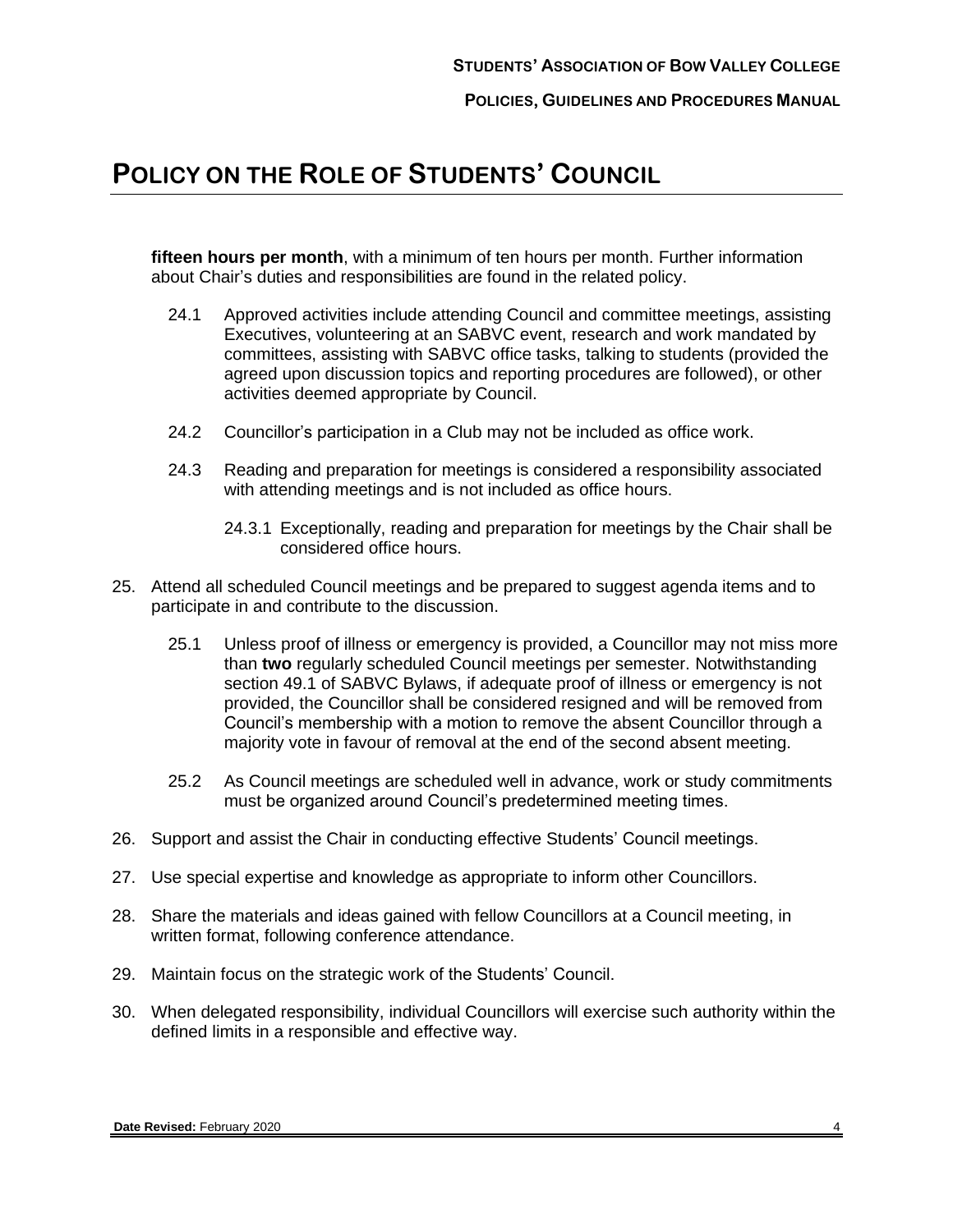## **POLICY ON THE ROLE OF STUDENTS' COUNCIL**

**fifteen hours per month**, with a minimum of ten hours per month. Further information about Chair's duties and responsibilities are found in the related policy.

- 24.1 Approved activities include attending Council and committee meetings, assisting Executives, volunteering at an SABVC event, research and work mandated by committees, assisting with SABVC office tasks, talking to students (provided the agreed upon discussion topics and reporting procedures are followed), or other activities deemed appropriate by Council.
- 24.2 Councillor's participation in a Club may not be included as office work.
- 24.3 Reading and preparation for meetings is considered a responsibility associated with attending meetings and is not included as office hours.
	- 24.3.1 Exceptionally, reading and preparation for meetings by the Chair shall be considered office hours.
- 25. Attend all scheduled Council meetings and be prepared to suggest agenda items and to participate in and contribute to the discussion.
	- 25.1 Unless proof of illness or emergency is provided, a Councillor may not miss more than **two** regularly scheduled Council meetings per semester. Notwithstanding section 49.1 of SABVC Bylaws, if adequate proof of illness or emergency is not provided, the Councillor shall be considered resigned and will be removed from Council's membership with a motion to remove the absent Councillor through a majority vote in favour of removal at the end of the second absent meeting.
	- 25.2 As Council meetings are scheduled well in advance, work or study commitments must be organized around Council's predetermined meeting times.
- 26. Support and assist the Chair in conducting effective Students' Council meetings.
- 27. Use special expertise and knowledge as appropriate to inform other Councillors.
- 28. Share the materials and ideas gained with fellow Councillors at a Council meeting, in written format, following conference attendance.
- 29. Maintain focus on the strategic work of the Students' Council.
- 30. When delegated responsibility, individual Councillors will exercise such authority within the defined limits in a responsible and effective way.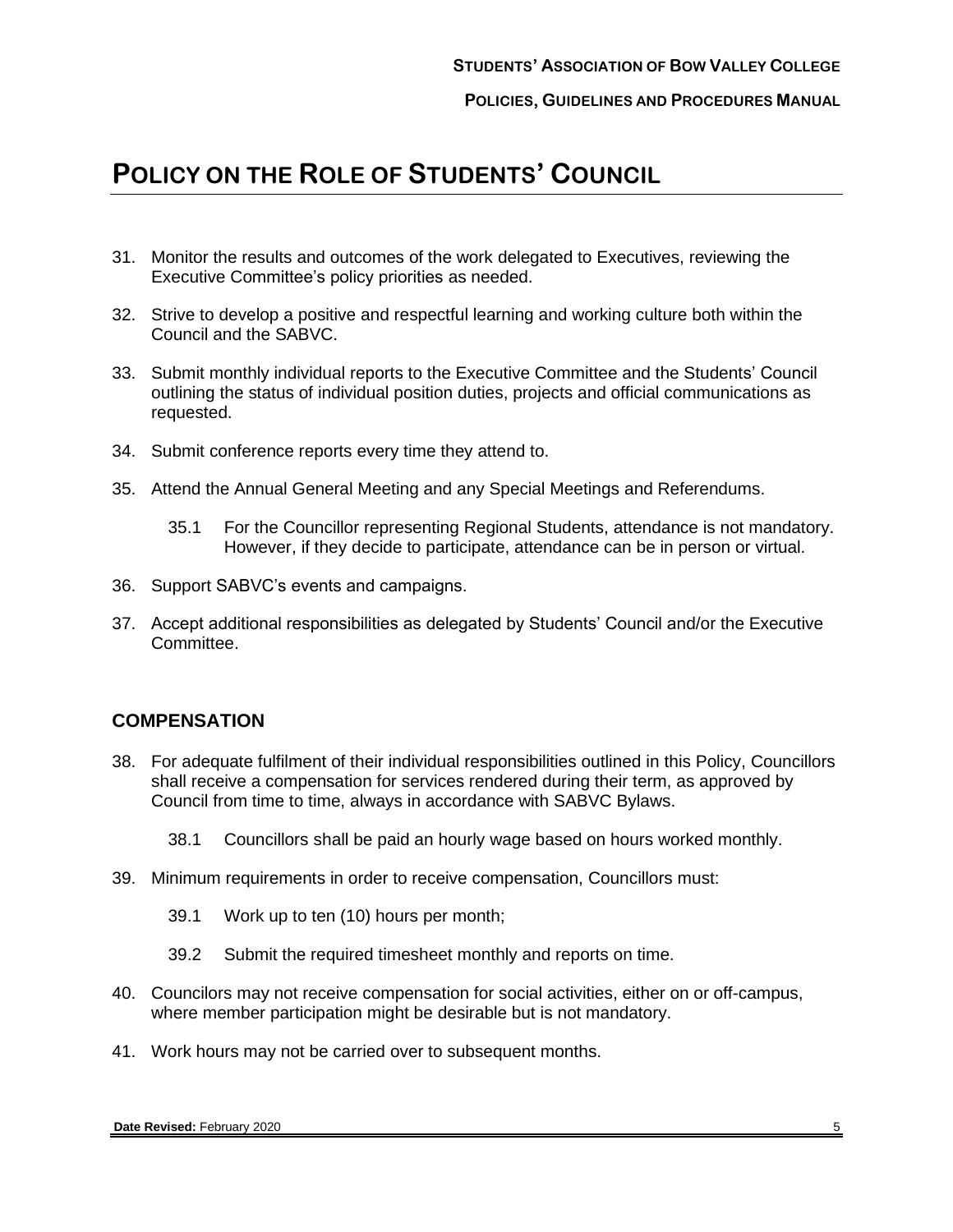## **POLICY ON THE ROLE OF STUDENTS' COUNCIL**

- 31. Monitor the results and outcomes of the work delegated to Executives, reviewing the Executive Committee's policy priorities as needed.
- 32. Strive to develop a positive and respectful learning and working culture both within the Council and the SABVC.
- 33. Submit monthly individual reports to the Executive Committee and the Students' Council outlining the status of individual position duties, projects and official communications as requested.
- 34. Submit conference reports every time they attend to.
- 35. Attend the Annual General Meeting and any Special Meetings and Referendums.
	- 35.1 For the Councillor representing Regional Students, attendance is not mandatory. However, if they decide to participate, attendance can be in person or virtual.
- 36. Support SABVC's events and campaigns.
- 37. Accept additional responsibilities as delegated by Students' Council and/or the Executive Committee.

#### **COMPENSATION**

- 38. For adequate fulfilment of their individual responsibilities outlined in this Policy, Councillors shall receive a compensation for services rendered during their term, as approved by Council from time to time, always in accordance with SABVC Bylaws.
	- 38.1 Councillors shall be paid an hourly wage based on hours worked monthly.
- 39. Minimum requirements in order to receive compensation, Councillors must:
	- 39.1 Work up to ten (10) hours per month;
	- 39.2 Submit the required timesheet monthly and reports on time.
- 40. Councilors may not receive compensation for social activities, either on or off-campus, where member participation might be desirable but is not mandatory.
- 41. Work hours may not be carried over to subsequent months.